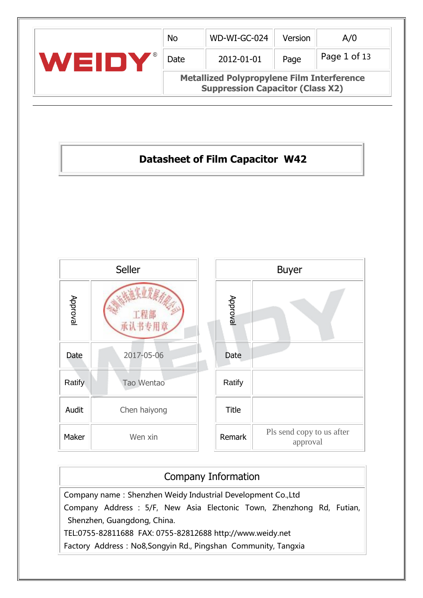|              | <b>No</b>                                                                                    | WD-WI-GC-024 | Version | A/0          |  |  |  |
|--------------|----------------------------------------------------------------------------------------------|--------------|---------|--------------|--|--|--|
| l Silv<br>71 | Date                                                                                         | 2012-01-01   | Page    | Page 1 of 13 |  |  |  |
|              | <b>Metallized Polypropylene Film Interference</b><br><b>Suppression Capacitor (Class X2)</b> |              |         |              |  |  |  |

# **Datasheet of Film Capacitor W42**



#### Company Information

Company name: Shenzhen Weidy Industrial Development Co.,Ltd Company Address : 5/F, New Asia Electonic Town, Zhenzhong Rd, Futian, Shenzhen, Guangdong, China. TEL:0755-82811688 FAX: 0755-82812688 http://www.weidy.net Factory Address: No8,Songyin Rd., Pingshan Community, Tangxia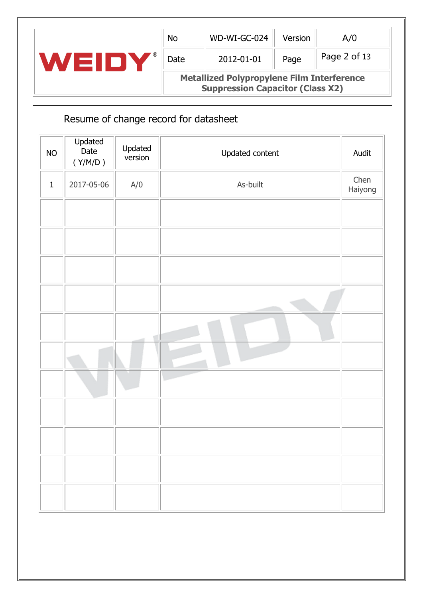|     | <b>No</b> | WD-WI-GC-024                                                                                 | Version | A/O          |
|-----|-----------|----------------------------------------------------------------------------------------------|---------|--------------|
| eur | Date      | 2012-01-01                                                                                   | Page    | Page 2 of 13 |
|     |           | <b>Metallized Polypropylene Film Interference</b><br><b>Suppression Capacitor (Class X2)</b> |         |              |

# Resume of change record for datasheet

| $NO$        | Updated<br>Date<br>$(\Upsilon/M/D$ ) | Updated<br>version | Updated content | Audit           |
|-------------|--------------------------------------|--------------------|-----------------|-----------------|
| $\mathbf 1$ | 2017-05-06                           | A/O                | As-built        | Chen<br>Haiyong |
|             |                                      |                    |                 |                 |
|             |                                      |                    |                 |                 |
|             |                                      |                    |                 |                 |
|             |                                      |                    |                 |                 |
|             |                                      |                    |                 |                 |
|             |                                      |                    |                 |                 |
|             |                                      |                    |                 |                 |
|             |                                      |                    |                 |                 |
|             |                                      |                    |                 |                 |
|             |                                      |                    |                 |                 |
|             |                                      |                    |                 |                 |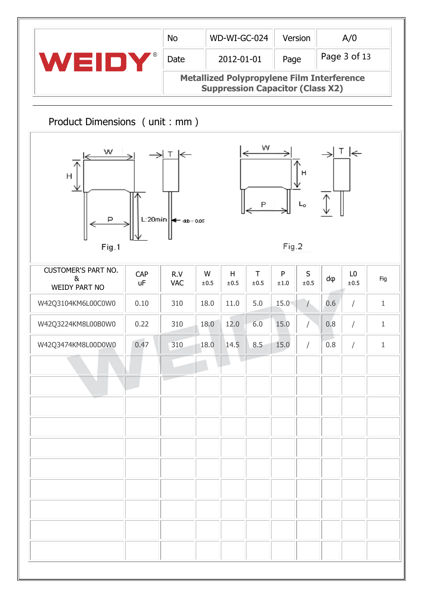| WEIDY<br>Product Dimensions (unit : mm)<br>CAP<br>uF | Date<br>$T \n\leftarrow$<br>L:20 $min$ $\left  \leftarrow$ $_{\text{db} \pm 0.05}$<br>R.V<br><b>VAC</b> | W<br>$\pm 0.5$ | 2012-01-01<br>H<br>±0.5 | w<br>T<br>±0.5 | Page<br><b>Metallized Polypropylene Film Interference</b><br><b>Suppression Capacitor (Class X2)</b><br>Fig.2<br>${\sf P}$<br>$\pm 1.0$ | н<br>$L_0$<br>$\sf S$<br>$\pm 0.5$ | dφ  | Page 3 of 13<br>$T \n\in$<br>L <sub>0</sub><br>±0.5 | Fig          |
|------------------------------------------------------|---------------------------------------------------------------------------------------------------------|----------------|-------------------------|----------------|-----------------------------------------------------------------------------------------------------------------------------------------|------------------------------------|-----|-----------------------------------------------------|--------------|
|                                                      |                                                                                                         |                |                         |                |                                                                                                                                         |                                    |     |                                                     |              |
|                                                      |                                                                                                         |                |                         |                |                                                                                                                                         |                                    |     |                                                     |              |
|                                                      |                                                                                                         |                |                         |                |                                                                                                                                         |                                    |     |                                                     |              |
|                                                      |                                                                                                         |                |                         |                |                                                                                                                                         |                                    |     |                                                     |              |
|                                                      |                                                                                                         |                |                         |                |                                                                                                                                         |                                    |     |                                                     |              |
| 0.10                                                 | 310                                                                                                     | 18.0           | 11.0                    | 5.0            | 15.0                                                                                                                                    | $\left( \frac{1}{2} \right)$       | 0.6 | $\sqrt{2}$                                          | $\mathbf{1}$ |
| 0.22                                                 | 310                                                                                                     | 18.0           | 12.0                    | 6.0            | 15.0                                                                                                                                    | T                                  | 0.8 | T                                                   | $\mathbf{1}$ |
| 0.47                                                 | 310                                                                                                     | 18.0           | 14.5                    | 8.5            | 15.0                                                                                                                                    |                                    | 0.8 |                                                     | $\mathbf 1$  |
|                                                      |                                                                                                         |                |                         |                |                                                                                                                                         |                                    |     |                                                     |              |
|                                                      |                                                                                                         |                |                         |                |                                                                                                                                         |                                    |     |                                                     |              |
|                                                      |                                                                                                         |                |                         |                |                                                                                                                                         |                                    |     |                                                     |              |
|                                                      |                                                                                                         |                |                         |                |                                                                                                                                         |                                    |     |                                                     |              |
|                                                      |                                                                                                         |                |                         |                |                                                                                                                                         |                                    |     |                                                     |              |
|                                                      |                                                                                                         |                |                         |                |                                                                                                                                         |                                    |     |                                                     |              |
|                                                      |                                                                                                         |                |                         |                |                                                                                                                                         |                                    |     |                                                     |              |
|                                                      |                                                                                                         |                |                         |                |                                                                                                                                         |                                    |     |                                                     |              |
|                                                      |                                                                                                         |                |                         |                |                                                                                                                                         |                                    |     |                                                     |              |
|                                                      |                                                                                                         |                |                         |                |                                                                                                                                         |                                    |     |                                                     |              |
|                                                      |                                                                                                         |                |                         |                |                                                                                                                                         |                                    |     |                                                     |              |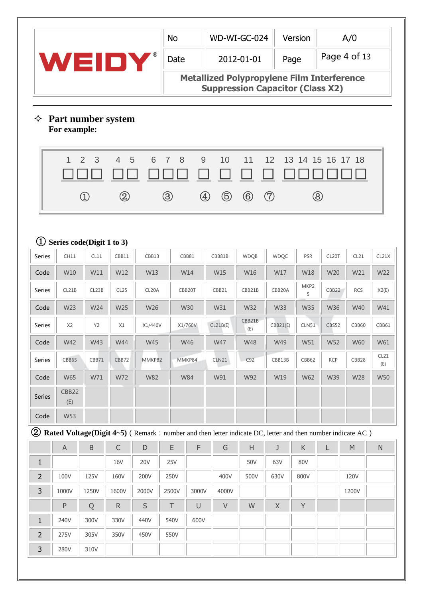|                                                                                                                      |                                    |                                |              |             | <b>No</b>        |                   |              | WD-WI-GC-024                                                                                 |             | Version      |                   | A/0                                                 |             |
|----------------------------------------------------------------------------------------------------------------------|------------------------------------|--------------------------------|--------------|-------------|------------------|-------------------|--------------|----------------------------------------------------------------------------------------------|-------------|--------------|-------------------|-----------------------------------------------------|-------------|
|                                                                                                                      | WEIDY                              |                                |              |             | Date             |                   |              | 2012-01-01                                                                                   | Page        |              |                   | Page 4 of 13                                        |             |
|                                                                                                                      |                                    |                                |              |             |                  |                   |              | <b>Metallized Polypropylene Film Interference</b><br><b>Suppression Capacitor (Class X2)</b> |             |              |                   |                                                     |             |
| ✧                                                                                                                    | Part number system<br>For example: |                                |              |             |                  |                   |              |                                                                                              |             |              |                   |                                                     |             |
|                                                                                                                      | $\mathbf{1}$                       | 3<br>2                         | 4<br>5       | 6           | $7^{\circ}$<br>8 | 9                 | 10           | 11                                                                                           | 12          |              | 13 14 15 16 17 18 |                                                     |             |
|                                                                                                                      |                                    |                                |              |             |                  |                   |              |                                                                                              |             |              |                   |                                                     |             |
|                                                                                                                      |                                    | $\textcircled{\scriptsize{1}}$ | $\circledZ$  |             | $\circledS$      | $\left( 4\right)$ | $\circledS$  | $\circled6$                                                                                  | (7)         |              | $\circledR$       |                                                     |             |
|                                                                                                                      |                                    |                                |              |             |                  |                   |              |                                                                                              |             |              |                   |                                                     |             |
| $\left( 1\right)$                                                                                                    | Series code(Digit 1 to 3)          |                                |              |             |                  |                   |              |                                                                                              |             |              |                   |                                                     |             |
| <b>Series</b>                                                                                                        | <b>CH11</b>                        | CL11                           | CBB11        | CBB13       |                  | CBB81             | CBB81B       | <b>WDQB</b>                                                                                  | <b>WDQC</b> | <b>PSR</b>   | CL20T             | CL21                                                | CL21X       |
| Code                                                                                                                 | W10                                | W11                            | W12          | W13         |                  | W14               | W15          | W16                                                                                          | W17         | W18          | W20               | W21                                                 | W22         |
| <b>Series</b>                                                                                                        | CL21B                              | CL23B                          | CL25         | CL20A       |                  | CBB20T            | CBB21        | CBB21B                                                                                       | CBB20A      | MKP2<br>5    | CBB22             | <b>RCS</b>                                          | X2(E)       |
| Code                                                                                                                 | W23                                | W24                            | W25          | W26         |                  | <b>W30</b>        | W31          | W32                                                                                          | <b>W33</b>  | <b>W35</b>   | W36               | W40                                                 | W41         |
| Series                                                                                                               | X <sub>2</sub>                     | Y2                             | X1           | X1/440V     |                  | X1/760V           | CL21B(E)     | CBB21B<br>(E)                                                                                | CBB21(E)    | <b>CLN51</b> | <b>CBS52</b>      | <b>CBB60</b>                                        | CBB61       |
| Code                                                                                                                 | W42                                | W43                            | W44          | <b>W45</b>  |                  | W46               | W47          | W48                                                                                          | W49         | W51          | W52               | W60                                                 | W61         |
| Series                                                                                                               | CBB65                              | CBB71                          | CBB72        | MMKP82      |                  | MMKP84            | <b>CLN21</b> | C92                                                                                          | CBB13B      | CBB62        | <b>RCP</b>        | CBB28                                               | CL21<br>(E) |
| Code                                                                                                                 | W65                                | W71                            | W72          | <b>W82</b>  |                  | <b>W84</b>        | W91          | W92                                                                                          | W19         | W62          | W39               | W28                                                 | <b>W50</b>  |
| <b>Series</b>                                                                                                        | CBB22<br>(E)                       |                                |              |             |                  |                   |              |                                                                                              |             |              |                   |                                                     |             |
| Code                                                                                                                 | W53                                |                                |              |             |                  |                   |              |                                                                                              |             |              |                   |                                                     |             |
| <b>2)</b> Rated Voltage(Digit 4~5) (Remark : number and then letter indicate DC, letter and then number indicate AC) |                                    |                                |              |             |                  |                   |              |                                                                                              |             |              |                   |                                                     |             |
|                                                                                                                      | $\mathsf A$                        | $\sf B$                        | $\mathsf C$  | $\mathsf D$ | E                | $\mathsf F$       | G            | $\boldsymbol{\mathsf{H}}$                                                                    | J           | $\sf K$      |                   | $\mathsf{M}% _{0}^{\prime}=\mathsf{M}_{0}^{\prime}$ | ${\sf N}$   |
| $\mathbf{1}$                                                                                                         |                                    |                                | <b>16V</b>   | <b>20V</b>  | 25V              |                   |              | 50V                                                                                          | 63V         | 80V          |                   |                                                     |             |
| $\overline{2}$                                                                                                       | 100V                               | 125V                           | 160V         | 200V        | 250V             |                   | 400V         | 500V                                                                                         | 630V        | 800V         |                   | 120V                                                |             |
| $\mathsf{3}$                                                                                                         | 1000V                              | 1250V                          | 1600V        | 2000V       | 2500V            | 3000V             | 4000V        |                                                                                              |             |              |                   | 1200V                                               |             |
|                                                                                                                      | ${\sf P}$                          | Q                              | $\mathsf{R}$ | $\sf S$     | T                | $\cup$            | $\mathsf V$  | W                                                                                            | $\mathsf X$ | Y            |                   |                                                     |             |
| $\mathbf 1$                                                                                                          | 240V                               | 300V                           | 330V         | 440V        | 540V             | 600V              |              |                                                                                              |             |              |                   |                                                     |             |
| $\overline{2}$                                                                                                       | 275V                               | 305V                           | 350V         | 450V        | 550V             |                   |              |                                                                                              |             |              |                   |                                                     |             |
|                                                                                                                      |                                    | 310V                           |              |             |                  |                   |              |                                                                                              |             |              |                   |                                                     |             |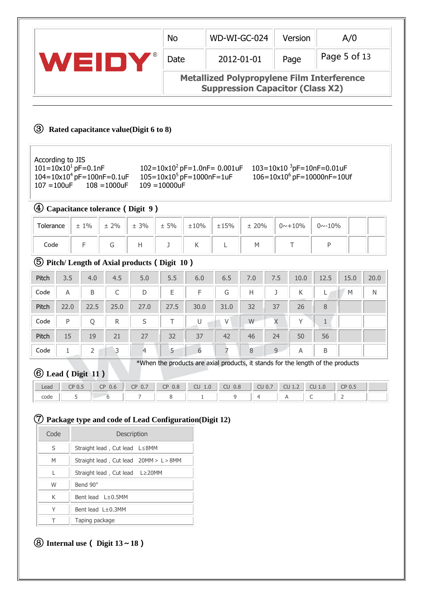|                                                                                                                         |                                                                                              |                 |      | <b>No</b>       |      | WD-WI-GC-024                                                                     |            |     | Version                                                                     |                | A/0          |      |
|-------------------------------------------------------------------------------------------------------------------------|----------------------------------------------------------------------------------------------|-----------------|------|-----------------|------|----------------------------------------------------------------------------------|------------|-----|-----------------------------------------------------------------------------|----------------|--------------|------|
| WEIDY                                                                                                                   |                                                                                              |                 |      | Date            |      |                                                                                  | 2012-01-01 |     | Page                                                                        |                | Page 5 of 13 |      |
|                                                                                                                         | <b>Metallized Polypropylene Film Interference</b><br><b>Suppression Capacitor (Class X2)</b> |                 |      |                 |      |                                                                                  |            |     |                                                                             |                |              |      |
| (3)<br>According to JIS<br>$101 = 10 \times 10^{1}$ pF=0.1nF<br>$104 = 10 \times 10^4$ pF=100nF=0.1uF<br>$107 = 100$ uF | Rated capacitance value(Digit 6 to 8)                                                        | $108 = 1000$ uF |      | $109 = 10000uF$ |      | $102 = 10 \times 10^2$ pF=1.0nF= 0.001uF<br>$105 = 10 \times 10^5$ pF=1000nF=1uF |            |     | 103=10x10 ${}^{3}$ pF=10nF=0.01uF<br>$106 = 10 \times 10^6$ pF=10000nF=10Uf |                |              |      |
| $\left( 4\right)$                                                                                                       | Capacitance tolerance (Digit 9)                                                              |                 |      |                 |      |                                                                                  |            |     |                                                                             |                |              |      |
| Tolerance                                                                                                               | $+1%$                                                                                        | $± 2\%$         | ± 3% | ± 5%            | ±10% | ±15%                                                                             | ± 20%      |     | $0 \sim +10\%$                                                              | $0 \sim -10\%$ |              |      |
| Code                                                                                                                    | F                                                                                            | G               | H    | J               | K    | L                                                                                | M          |     | Τ                                                                           | P              |              |      |
| (5)<br>Pitch/Length of Axial products (Digit 10)                                                                        |                                                                                              |                 |      |                 |      |                                                                                  |            |     |                                                                             |                |              |      |
| Pitch<br>3.5                                                                                                            | 4.0                                                                                          | 4.5             | 5.0  | 5.5             | 6.0  | 6.5                                                                              | 7.0        | 7.5 | 10.0                                                                        | 12.5           | 15.0         | 20.0 |

| Pitch | 3.5  | 4.0  | 4.5  | 5.0  | 5.5  | 6.0  | 6.5  | 7.0 | 7.5 | 10.0         | 12.5 | 15.0 | 20.0 |
|-------|------|------|------|------|------|------|------|-----|-----|--------------|------|------|------|
| Code  | Α    | B    | С    | D    | Ε    | F    | G    | Н   |     | К            |      | М    | Ν    |
| Pitch | 22.0 | 22.5 | 25.0 | 27.0 | 27.5 | 30.0 | 31.0 | 32  | 37  | 26           | 8    |      |      |
| Code  | P    |      | R    | S    |      |      | V    | W   | Χ   | $\checkmark$ |      |      |      |
| Pitch | 15   | 19   | 21   | 27   | 32   | 37   | 42   | 46  | 24  | 50           | 56   |      |      |
| Code  |      |      |      | 4    | 5    | 6    |      | 8   | 9   | A            | B    |      |      |

\*When the products are axial products, it stands for the length of the products

# ⑥ **Lead**(**Digit 11**)

| Lead | CDAT<br>$\sim$ U.S. | $\sim$ $\sim$<br>$\sim$<br>$U_{\cdot}$ b<br>ى | $\sim$ $\sim$<br>$\cap$<br>υ., | 0.8<br>$\sim$ n<br>◡ | $\sim$<br>$\sim$<br>1.0<br>UU | 0.8<br>$\sim$<br>ΨU | $\sim$<br>0.7<br><b>CU</b> | $\sim$<br>$\sim$<br>w<br><u>+1</u> | $\Omega$<br><b>L.U</b> | CDO<br>∵∪. . |  |
|------|---------------------|-----------------------------------------------|--------------------------------|----------------------|-------------------------------|---------------------|----------------------------|------------------------------------|------------------------|--------------|--|
| code |                     |                                               | -                              |                      |                               |                     |                            |                                    |                        |              |  |

# ⑦ **Package type and code of Lead Configuration(Digit 12)**

| Code | Description                            |
|------|----------------------------------------|
| S    | Straight lead, Cut lead L≤8MM          |
| M    | Straight lead, Cut lead 20MM > L > 8MM |
| L    | Straight lead, Cut lead $L \geq 20$ MM |
| W    | Bend 90°                               |
| K    | Bent lead L±0.5MM                      |
| Υ    | Bent lead $L\pm 0.3$ MM                |
|      | Taping package                         |

## ⑧ **Internal use**( **Digit 13**~**18**)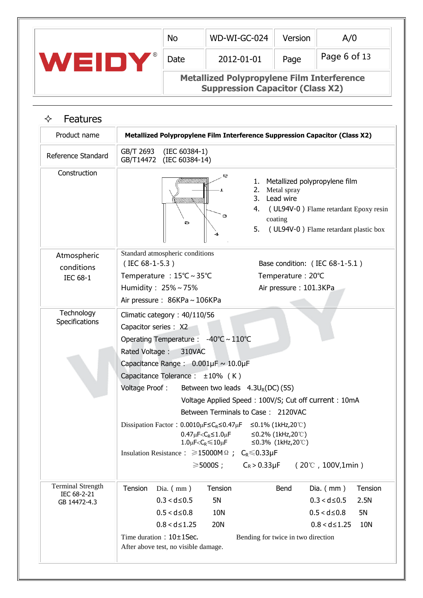|                                                         |                                                           | <b>No</b>                                                                                    | WD-WI-GC-024                                                                                                                                                                                                                                                                                                                                                                                                                                                                                                                                                                                                                                                                                                        | Version                                                                       | A/0                                                                                                           |
|---------------------------------------------------------|-----------------------------------------------------------|----------------------------------------------------------------------------------------------|---------------------------------------------------------------------------------------------------------------------------------------------------------------------------------------------------------------------------------------------------------------------------------------------------------------------------------------------------------------------------------------------------------------------------------------------------------------------------------------------------------------------------------------------------------------------------------------------------------------------------------------------------------------------------------------------------------------------|-------------------------------------------------------------------------------|---------------------------------------------------------------------------------------------------------------|
| WEIDY®                                                  |                                                           | Date                                                                                         | 2012-01-01                                                                                                                                                                                                                                                                                                                                                                                                                                                                                                                                                                                                                                                                                                          | Page                                                                          | Page 6 of 13                                                                                                  |
|                                                         |                                                           |                                                                                              | <b>Metallized Polypropylene Film Interference</b><br><b>Suppression Capacitor (Class X2)</b>                                                                                                                                                                                                                                                                                                                                                                                                                                                                                                                                                                                                                        |                                                                               |                                                                                                               |
| <b>Features</b><br>✧                                    |                                                           |                                                                                              |                                                                                                                                                                                                                                                                                                                                                                                                                                                                                                                                                                                                                                                                                                                     |                                                                               |                                                                                                               |
| Product name                                            |                                                           |                                                                                              | Metallized Polypropylene Film Interference Suppression Capacitor (Class X2)                                                                                                                                                                                                                                                                                                                                                                                                                                                                                                                                                                                                                                         |                                                                               |                                                                                                               |
| Reference Standard                                      | GB/T 2693<br>GB/T14472                                    | $(IEC 60384-1)$<br>(IEC 60384-14)                                                            |                                                                                                                                                                                                                                                                                                                                                                                                                                                                                                                                                                                                                                                                                                                     |                                                                               |                                                                                                               |
| Construction                                            |                                                           | 5                                                                                            | 2<br>1.<br>2.<br>3.<br>4.<br>э<br>5.<br>4                                                                                                                                                                                                                                                                                                                                                                                                                                                                                                                                                                                                                                                                           | Metallized polypropylene film<br>Metal spray<br>Lead wire<br>coating          | (UL94V-0) Flame retardant Epoxy resin<br>(UL94V-0) Flame retardant plastic box                                |
| Atmospheric<br>conditions<br><b>IEC 68-1</b>            | $($ IEC 68-1-5.3)<br>Humidity: 25%~75%                    | Standard atmospheric conditions<br>Temperature : 15°C ~ 35°C<br>Air pressure: 86KPa ~ 106KPa |                                                                                                                                                                                                                                                                                                                                                                                                                                                                                                                                                                                                                                                                                                                     | Base condition: (IEC 68-1-5.1)<br>Temperature: 20°C<br>Air pressure: 101.3KPa |                                                                                                               |
| Technology<br>Specifications                            | Capacitor series : X2<br>Rated Voltage:<br>Voltage Proof: | Climatic category: 40/110/56<br>310VAC<br>Capacitance Tolerance : $\pm 10\%$ (K)             | Operating Temperature : -40℃~110℃<br>Capacitance Range: $0.001\mu$ F ~ 10.0 $\mu$ F<br>Between two leads $4.3U_R(DC)$ (5S)<br>Voltage Applied Speed: 100V/S; Cut off current: 10mA<br>Between Terminals to Case: 2120VAC<br>Dissipation Factor: $0.0010 \mu$ F $\leq C_R \leq 0.47 \mu$ F $\leq 0.1\%$ (1kHz,20°C)<br>$0.47 \mu$ F <c<sub>R <math>\leq</math> 1.0<math>\mu</math>F <math>\leq</math> 0.2% (1kHz, 20°C)<br/><math>1.0 \mu</math>F<c<sub>R<math>\leq 10 \mu</math>F <math>\leq 0.3\%</math> (1kHz,20°C)<br/>Insulation Resistance : <math>\geq 15000M \Omega</math>; C<sub>R</sub> <math>\leq 0.33\mu</math>F<br/><math>\geq 5000S</math>; C<sub>R</sub> &gt; 0.33µF (20℃, 100V,1min)</c<sub></c<sub> |                                                                               |                                                                                                               |
| <b>Terminal Strength</b><br>IEC 68-2-21<br>GB 14472-4.3 | Tension                                                   | Dia. $(mm)$<br>$0.3 < d \le 0.5$<br>$0.5 < d \leq 0.8$<br>$0.8 < d \le 1.25$                 | Tension<br>5N<br>10N<br><b>20N</b>                                                                                                                                                                                                                                                                                                                                                                                                                                                                                                                                                                                                                                                                                  | Bend                                                                          | Dia. $(mm)$<br>Tension<br>$0.3 < d \leq 0.5$<br>2.5N<br>$0.5 < d \leq 0.8$<br>5N<br>$0.8 < d \le 1.25$<br>10N |

Time duration:  $10\pm1$ Sec. Bending for twice in two direction

After above test, no visible damage.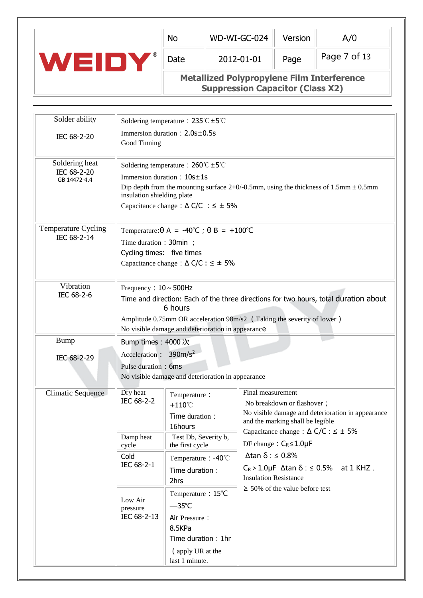|     | <b>No</b> | WD-WI-GC-024                                      | Version | A/0          |
|-----|-----------|---------------------------------------------------|---------|--------------|
| (R) | Date      | 2012-01-01                                        | Page    | Page 7 of 13 |
|     |           | <b>Metallized Polypropylene Film Interference</b> |         |              |

**Suppression Capacitor (Class X2)**

| Solder ability              |                                    | Soldering temperature : $235^{\circ}C \pm 5^{\circ}C$ |                                                                                              |
|-----------------------------|------------------------------------|-------------------------------------------------------|----------------------------------------------------------------------------------------------|
|                             |                                    | Immersion duration: 2.0s±0.5s                         |                                                                                              |
| IEC 68-2-20                 | Good Tinning                       |                                                       |                                                                                              |
|                             |                                    |                                                       |                                                                                              |
| Soldering heat              |                                    | Soldering temperature : $260^{\circ}C \pm 5^{\circ}C$ |                                                                                              |
| IEC 68-2-20<br>GB 14472-4.4 |                                    | Immersion duration: 10s±1s                            |                                                                                              |
|                             |                                    |                                                       | Dip depth from the mounting surface $2+0/0.5$ mm, using the thickness of 1.5 mm $\pm 0.5$ mm |
|                             | insulation shielding plate         |                                                       |                                                                                              |
|                             |                                    | Capacitance change : $\Delta C/C$ : $\leq \pm 5\%$    |                                                                                              |
| Temperature Cycling         |                                    | Temperature: $\theta$ A = -40°C ; $\theta$ B = +100°C |                                                                                              |
| IEC 68-2-14                 | Time duration: 30min;              |                                                       |                                                                                              |
|                             | Cycling times: five times          |                                                       |                                                                                              |
|                             |                                    | Capacitance change : $\Delta$ C/C : $\leq \pm 5\%$    |                                                                                              |
|                             |                                    |                                                       |                                                                                              |
| Vibration                   | Frequency: $10 \sim 500$ Hz        |                                                       |                                                                                              |
| IEC 68-2-6                  |                                    |                                                       | Time and direction: Each of the three directions for two hours, total duration about         |
|                             |                                    | 6 hours                                               |                                                                                              |
|                             |                                    |                                                       | Amplitude 0.75mm OR acceleration 98m/s2 (Taking the severity of lower)                       |
|                             |                                    | No visible damage and deterioration in appearance     |                                                                                              |
| <b>Bump</b>                 | Bump times: 4000次                  |                                                       |                                                                                              |
| IEC 68-2-29                 | Acceleration : 390m/s <sup>2</sup> |                                                       |                                                                                              |
|                             | Pulse duration: 6ms                |                                                       |                                                                                              |
|                             |                                    | No visible damage and deterioration in appearance     |                                                                                              |
| Climatic Sequence           | Dry heat                           | Temperature:                                          | Final measurement                                                                            |
|                             | IEC 68-2-2                         | $+110^{\circ}$ C                                      | No breakdown or flashover;                                                                   |
|                             |                                    | Time duration:                                        | No visible damage and deterioration in appearance<br>and the marking shall be legible        |
|                             |                                    | 16hours                                               | Capacitance change : $\Delta$ C/C : $\leq \pm$ 5%                                            |
|                             | Damp heat<br>cycle                 | Test Db, Severity b,<br>the first cycle               | DF change: $C_R \leq 1.0 \mu F$                                                              |
|                             | Cold                               | Temperature: -40°C                                    | $\Delta$ tan $\delta$ : $\leq$ 0.8%                                                          |
|                             | IEC 68-2-1                         | Time duration :                                       | $C_R > 1.0 \mu F$ $\Delta$ tan $\delta$ : $\leq$ 0.5% at 1 KHZ.                              |
|                             |                                    | 2hrs                                                  | <b>Insulation Resistance</b>                                                                 |
|                             |                                    | Temperature: 15°C                                     | $\geq$ 50% of the value before test                                                          |
|                             | Low Air                            | $-35^{\circ}$ C                                       |                                                                                              |
|                             | pressure<br>IEC 68-2-13            | Air Pressure:                                         |                                                                                              |
|                             |                                    | 8.5KPa                                                |                                                                                              |
|                             |                                    | Time duration: 1hr                                    |                                                                                              |
|                             |                                    | (apply UR at the                                      |                                                                                              |
|                             |                                    | last 1 minute.                                        |                                                                                              |
|                             |                                    |                                                       |                                                                                              |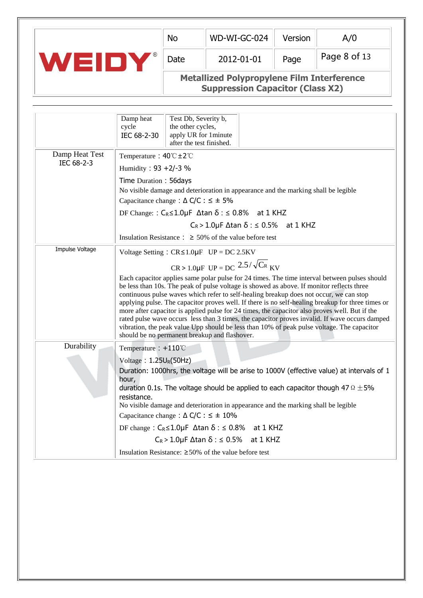|     | <b>No</b> | WD-WI-GC-024                                      | Version | A/0          |
|-----|-----------|---------------------------------------------------|---------|--------------|
| (R) | Date      | 2012-01-01                                        | Page    | Page 8 of 13 |
|     |           | <b>Metallized Polypropylene Film Interference</b> |         |              |

**Suppression Capacitor (Class X2)**

|                 | Damp heat<br>Test Db, Severity b,<br>cycle<br>the other cycles,<br>IEC 68-2-30<br>apply UR for 1 minute<br>after the test finished.                                                                                                                                                                                                                                                                                                                                                                                                                                                                                                                                                                                                          |
|-----------------|----------------------------------------------------------------------------------------------------------------------------------------------------------------------------------------------------------------------------------------------------------------------------------------------------------------------------------------------------------------------------------------------------------------------------------------------------------------------------------------------------------------------------------------------------------------------------------------------------------------------------------------------------------------------------------------------------------------------------------------------|
| Damp Heat Test  | Temperature: $40^{\circ}C \pm 2^{\circ}C$                                                                                                                                                                                                                                                                                                                                                                                                                                                                                                                                                                                                                                                                                                    |
| IEC 68-2-3      | Humidity: 93 +2/-3 %                                                                                                                                                                                                                                                                                                                                                                                                                                                                                                                                                                                                                                                                                                                         |
|                 | Time Duration: 56days                                                                                                                                                                                                                                                                                                                                                                                                                                                                                                                                                                                                                                                                                                                        |
|                 | No visible damage and deterioration in appearance and the marking shall be legible                                                                                                                                                                                                                                                                                                                                                                                                                                                                                                                                                                                                                                                           |
|                 | Capacitance change : $\Delta$ C/C : $\leq \pm 5\%$                                                                                                                                                                                                                                                                                                                                                                                                                                                                                                                                                                                                                                                                                           |
|                 | DF Change:: $C_R \le 1.0 \mu F$ $\Delta$ tan $\delta$ : $\le 0.8\%$ at 1 KHZ                                                                                                                                                                                                                                                                                                                                                                                                                                                                                                                                                                                                                                                                 |
|                 | $C_R > 1.0 \mu F \Delta \tan \delta$ : $\leq 0.5\%$ at 1 KHZ                                                                                                                                                                                                                                                                                                                                                                                                                                                                                                                                                                                                                                                                                 |
|                 | Insulation Resistance : $\geq 50\%$ of the value before test                                                                                                                                                                                                                                                                                                                                                                                                                                                                                                                                                                                                                                                                                 |
| Impulse Voltage | Voltage Setting: $CR \le 1.0\mu F$ UP = DC 2.5KV                                                                                                                                                                                                                                                                                                                                                                                                                                                                                                                                                                                                                                                                                             |
|                 | $CR > 1.0 \mu F$ UP = DC $2.5/\sqrt{C_R}$ KV                                                                                                                                                                                                                                                                                                                                                                                                                                                                                                                                                                                                                                                                                                 |
|                 | Each capacitor applies same polar pulse for 24 times. The time interval between pulses should<br>be less than 10s. The peak of pulse voltage is showed as above. If monitor reflects three<br>continuous pulse waves which refer to self-healing breakup does not occur, we can stop<br>applying pulse. The capacitor proves well. If there is no self-healing breakup for three times or<br>more after capacitor is applied pulse for 24 times, the capacitor also proves well. But if the<br>rated pulse wave occurs less than 3 times, the capacitor proves invalid. If wave occurs damped<br>vibration, the peak value Upp should be less than 10% of peak pulse voltage. The capacitor<br>should be no permanent breakup and flashover. |
| Durability      | Temperature : $+110^{\circ}$ C                                                                                                                                                                                                                                                                                                                                                                                                                                                                                                                                                                                                                                                                                                               |
|                 | Voltage: $1.25U_R(50Hz)$<br>Duration: 1000hrs, the voltage will be arise to 1000V (effective value) at intervals of 1<br>hour,<br>duration 0.1s. The voltage should be applied to each capacitor though 47 $\Omega \pm 5\%$<br>resistance.<br>No visible damage and deterioration in appearance and the marking shall be legible<br>Capacitance change : $\Delta$ C/C : $\leq \pm 10\%$<br>DF change: $C_R \le 1.0 \mu$ F $\Delta$ tan $\delta$ : $\le 0.8\%$ at 1 KHZ<br>$C_R > 1.0 \mu F \Delta \tan \delta$ : $\leq 0.5\%$ at 1 KHZ                                                                                                                                                                                                       |
|                 | Insulation Resistance: $\geq 50\%$ of the value before test                                                                                                                                                                                                                                                                                                                                                                                                                                                                                                                                                                                                                                                                                  |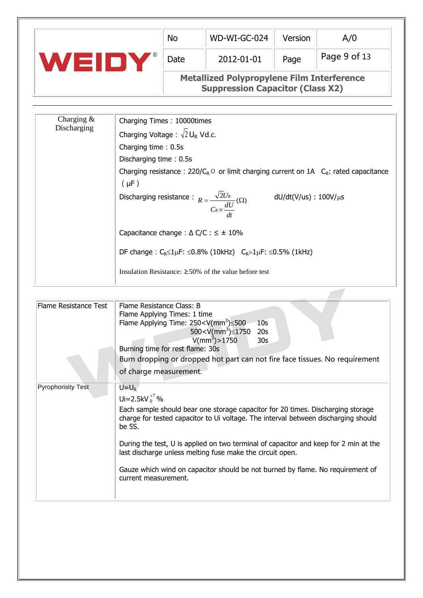|        | <b>No</b> | WD-WI-GC-024                                                                                 | Version | A/0          |
|--------|-----------|----------------------------------------------------------------------------------------------|---------|--------------|
| 13 I D | Date      | 2012-01-01                                                                                   | Page    | Page 9 of 13 |
|        |           | <b>Metallized Polypropylene Film Interference</b><br><b>Suppression Capacitor (Class X2)</b> |         |              |

| Charging $\&$ | Charging Times: 10000times                                                                                           |
|---------------|----------------------------------------------------------------------------------------------------------------------|
| Discharging   | Charging Voltage : $\sqrt{2} U_R$ Vd.c.                                                                              |
|               | Charging time: 0.5s                                                                                                  |
|               | Discharging time: 0.5s                                                                                               |
|               | Charging resistance : 220/C <sub>R</sub> $\Omega$ or limit charging current on 1A C <sub>R</sub> : rated capacitance |
|               | $(\mu$ F)                                                                                                            |
|               | Discharging resistance : $R = \frac{\sqrt{2}U_R}{C_R \times \frac{dU}{U}}(\Omega)$<br>dU/dt(V/us) : 100V/μs          |
|               | Capacitance change : $\triangle$ C/C : $\leq \pm 10\%$                                                               |
|               | DF change : C <sub>R</sub> ≤1µF: ≤0.8% (10kHz) C <sub>R</sub> >1µF: ≤0.5% (1kHz)                                     |
|               | Insulation Resistance: $\geq 50\%$ of the value before test                                                          |

 $\overline{\phantom{a}}$ 

| Flame Resistance Test     | Flame Resistance Class: B<br>Flame Applying Times: 1 time<br>Flame Applying Time: $250 < V(mm^3) \le 500$<br>10 <sub>S</sub><br>500 <v(mm<sup>3) <math>\leq</math>1750<br/>20<sub>s</sub><br/><math>V/mm^3</math>) &gt; 1750<br/>30<sub>s</sub><br/>Burning time for rest flame: 30s<br/>Burn dropping or dropped hot part can not fire face tissues. No requirement<br/>of charge measurement.</v(mm<sup>                                                                            |
|---------------------------|---------------------------------------------------------------------------------------------------------------------------------------------------------------------------------------------------------------------------------------------------------------------------------------------------------------------------------------------------------------------------------------------------------------------------------------------------------------------------------------|
| <b>Pyrophorisity Test</b> | $U = U_R$<br>Ui=2.5kV $_{0}^{+7}$ %<br>Each sample should bear one storage capacitor for 20 times. Discharging storage<br>charge for tested capacitor to Ui voltage. The interval between discharging should<br>be 5S.<br>During the test, U is applied on two terminal of capacitor and keep for 2 min at the<br>last discharge unless melting fuse make the circuit open.<br>Gauze which wind on capacitor should be not burned by flame. No requirement of<br>current measurement. |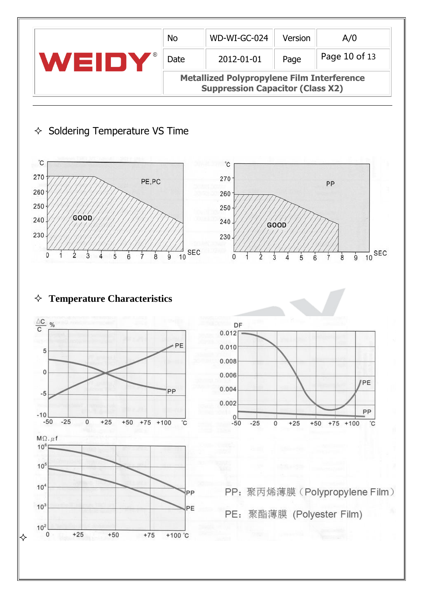|       | <b>No</b>                                                                                    | WD-WI-GC-024 | Version | A/0           |  |  |  |
|-------|----------------------------------------------------------------------------------------------|--------------|---------|---------------|--|--|--|
| WEIDI | Date                                                                                         | 2012-01-01   | Page    | Page 10 of 13 |  |  |  |
|       | <b>Metallized Polypropylene Film Interference</b><br><b>Suppression Capacitor (Class X2)</b> |              |         |               |  |  |  |

# $\Diamond$  Soldering Temperature VS Time





#### **Temperature Characteristics**

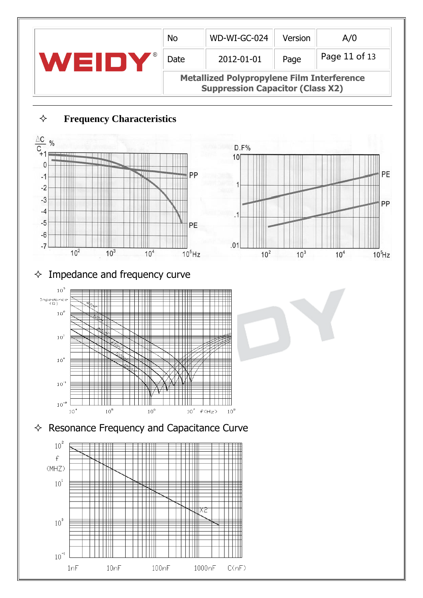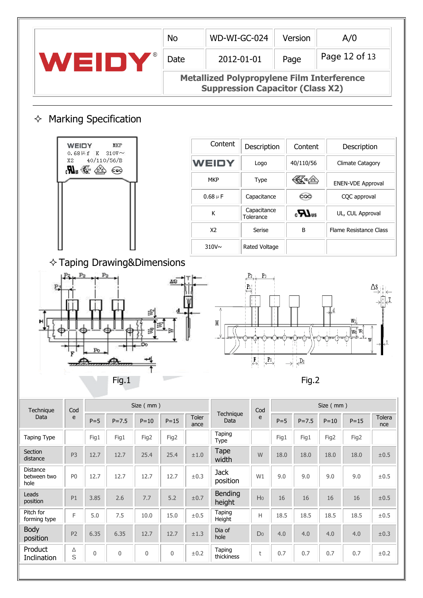|                                 |                |                                                                            |                                      |           | <b>No</b> |                                                                                              | WD-WI-GC-024            |                                                                 |         | Version                        |           | A/0                                   |               |  |
|---------------------------------|----------------|----------------------------------------------------------------------------|--------------------------------------|-----------|-----------|----------------------------------------------------------------------------------------------|-------------------------|-----------------------------------------------------------------|---------|--------------------------------|-----------|---------------------------------------|---------------|--|
|                                 |                |                                                                            | WEIDY                                |           | Date      |                                                                                              | 2012-01-01              |                                                                 | Page    |                                |           | Page 12 of 13                         |               |  |
|                                 |                |                                                                            |                                      |           |           | <b>Metallized Polypropylene Film Interference</b><br><b>Suppression Capacitor (Class X2)</b> |                         |                                                                 |         |                                |           |                                       |               |  |
| ✧                               |                |                                                                            | <b>Marking Specification</b>         |           |           |                                                                                              |                         |                                                                 |         |                                |           |                                       |               |  |
|                                 | WEIDY          | $0.68$ $\,\mathrm{Hz}$ K                                                   | MKP<br>$310V \sim$                   |           |           |                                                                                              | Content                 | Description                                                     |         | Content                        |           | Description                           |               |  |
|                                 | X2             | 40/110/56/B<br>$\mathscr{B}_{\mathfrak{m}}$ . $\mathscr{B}_{\mathfrak{m}}$ | $\epsilon$ eg                        |           |           |                                                                                              | <b>WEIDY</b>            | Logo                                                            |         | 40/110/56                      |           | <b>Climate Catagory</b>               |               |  |
|                                 |                |                                                                            |                                      |           |           |                                                                                              | <b>MKP</b>              | Type                                                            |         | ങ™                             |           | <b>ENEN-VDE Approval</b>              |               |  |
|                                 |                |                                                                            |                                      |           |           |                                                                                              | $0.68 \mu F$            | Capacitance                                                     |         | 600                            |           | CQC approval                          |               |  |
|                                 |                |                                                                            |                                      |           |           |                                                                                              | К                       | Capacitance<br>Tolerance                                        |         | $c$ <b>H</b> <sub>28</sub>     |           | UL, CUL Approval                      |               |  |
|                                 |                |                                                                            |                                      |           |           |                                                                                              | X2                      | Serise                                                          |         | B                              |           | Flame Resistance Class                |               |  |
|                                 |                |                                                                            |                                      |           |           |                                                                                              | 310V <sub>~</sub>       | Rated Voltage                                                   |         |                                |           |                                       |               |  |
|                                 |                |                                                                            | $\Diamond$ Taping Drawing&Dimensions |           |           |                                                                                              |                         |                                                                 |         |                                |           |                                       |               |  |
| ĻŁ<br>T                         |                | Po                                                                         |                                      |           |           | Ψ                                                                                            | Η                       | P <sub>1</sub>                                                  |         |                                |           | $\frac{\sqrt{w_0^{\wedge} w_1}}{w}$ w | $\downarrow$  |  |
|                                 |                |                                                                            |                                      |           |           |                                                                                              |                         | $\overline{F}$<br>$\overset{\mathbf{P}_0}{\longleftrightarrow}$ | →!      | $\overline{\mathcal{L}^{D_0}}$ |           |                                       |               |  |
|                                 |                |                                                                            | Fig.1                                |           |           |                                                                                              |                         |                                                                 |         | Fig.2                          |           |                                       |               |  |
| Technique                       | Cod            |                                                                            |                                      | Size (mm) |           |                                                                                              |                         | Cod                                                             |         |                                | Size (mm) |                                       |               |  |
| Data                            | e              | $P = 5$                                                                    | $P = 7.5$                            | $P = 10$  | $P = 15$  | Toler<br>ance                                                                                | Technique<br>Data       | e                                                               | $P = 5$ | $P = 7.5$                      | $P = 10$  | $P = 15$                              | Tolera<br>nce |  |
| Taping Type                     |                | Fig1                                                                       | Fig1                                 | Fig2      | Fig2      |                                                                                              | Taping<br>Type          |                                                                 | Fig1    | Fig1                           | Fig2      | Fig2                                  |               |  |
| Section<br>distance             | P <sub>3</sub> | 12.7                                                                       | 12.7                                 | 25.4      | 25.4      | $\pm 1.0$                                                                                    | Tape<br>width           | W                                                               | 18.0    | 18.0                           | 18.0      | 18.0                                  | $\pm 0.5$     |  |
| Distance<br>between two<br>hole | P <sub>0</sub> | 12.7                                                                       | 12.7                                 | 12.7      | 12.7      | $\pm 0.3$                                                                                    | <b>Jack</b><br>position | W1                                                              | 9.0     | 9.0                            | 9.0       | 9.0                                   | ±0.5          |  |

| <b>JELLIUI I</b><br>distance           | P <sub>3</sub> | 12.7         | 12.7 | 25.4        | 25.4         | ±1.0 | i upe<br>width          | W              | 18.0 | 18.0 | 18.0 | 18.0 | ±0.5 |
|----------------------------------------|----------------|--------------|------|-------------|--------------|------|-------------------------|----------------|------|------|------|------|------|
| <b>Distance</b><br>between two<br>hole | P <sub>0</sub> | 12.7         | 12.7 | 12.7        | 12.7         | ±0.3 | <b>Jack</b><br>position | W1             | 9.0  | 9.0  | 9.0  | 9.0  | ±0.5 |
| Leads<br>position                      | P1             | 3.85         | 2.6  | 7.7         | 5.2          | ±0.7 | Bending<br>height       | H <sub>0</sub> | 16   | 16   | 16   | 16   | ±0.5 |
| Pitch for<br>forming type              | F              | 5.0          | 7.5  | 10.0        | 15.0         | ±0.5 | Taping<br>Height        | Н              | 18.5 | 18.5 | 18.5 | 18.5 | ±0.5 |
| Body<br>position                       | P <sub>2</sub> | 6.35         | 6.35 | 12.7        | 12.7         | ±1.3 | Dia of<br>hole          | Do             | 4.0  | 4.0  | 4.0  | 4.0  | ±0.3 |
| Product<br>Inclination                 | Δ<br>S         | $\mathbf{0}$ | 0    | $\mathbf 0$ | $\mathbf{0}$ | ±0.2 | Taping<br>thickiness    |                | 0.7  | 0.7  | 0.7  | 0.7  | ±0.2 |
|                                        |                |              |      |             |              |      |                         |                |      |      |      |      |      |